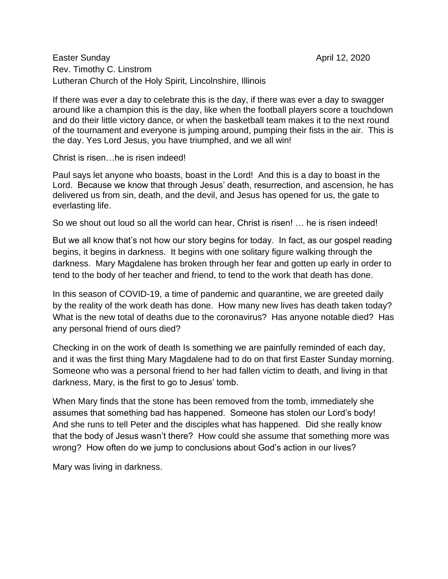Easter Sunday April 12, 2020 Rev. Timothy C. Linstrom Lutheran Church of the Holy Spirit, Lincolnshire, Illinois

If there was ever a day to celebrate this is the day, if there was ever a day to swagger around like a champion this is the day, like when the football players score a touchdown and do their little victory dance, or when the basketball team makes it to the next round of the tournament and everyone is jumping around, pumping their fists in the air. This is the day. Yes Lord Jesus, you have triumphed, and we all win!

Christ is risen…he is risen indeed!

Paul says let anyone who boasts, boast in the Lord! And this is a day to boast in the Lord. Because we know that through Jesus' death, resurrection, and ascension, he has delivered us from sin, death, and the devil, and Jesus has opened for us, the gate to everlasting life.

So we shout out loud so all the world can hear, Christ is risen! … he is risen indeed!

But we all know that's not how our story begins for today. In fact, as our gospel reading begins, it begins in darkness. It begins with one solitary figure walking through the darkness. Mary Magdalene has broken through her fear and gotten up early in order to tend to the body of her teacher and friend, to tend to the work that death has done.

In this season of COVID-19, a time of pandemic and quarantine, we are greeted daily by the reality of the work death has done. How many new lives has death taken today? What is the new total of deaths due to the coronavirus? Has anyone notable died? Has any personal friend of ours died?

Checking in on the work of death Is something we are painfully reminded of each day, and it was the first thing Mary Magdalene had to do on that first Easter Sunday morning. Someone who was a personal friend to her had fallen victim to death, and living in that darkness, Mary, is the first to go to Jesus' tomb.

When Mary finds that the stone has been removed from the tomb, immediately she assumes that something bad has happened. Someone has stolen our Lord's body! And she runs to tell Peter and the disciples what has happened. Did she really know that the body of Jesus wasn't there? How could she assume that something more was wrong? How often do we jump to conclusions about God's action in our lives?

Mary was living in darkness.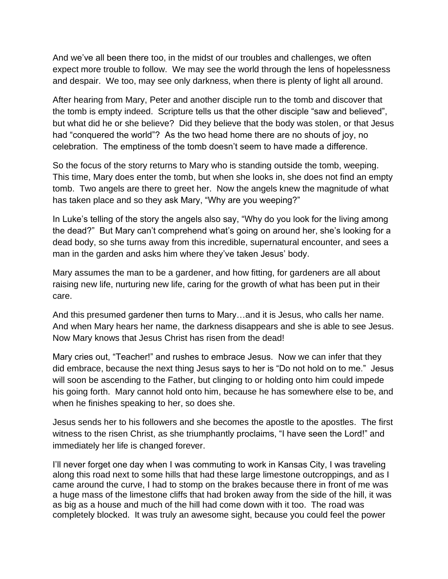And we've all been there too, in the midst of our troubles and challenges, we often expect more trouble to follow. We may see the world through the lens of hopelessness and despair. We too, may see only darkness, when there is plenty of light all around.

After hearing from Mary, Peter and another disciple run to the tomb and discover that the tomb is empty indeed. Scripture tells us that the other disciple "saw and believed", but what did he or she believe? Did they believe that the body was stolen, or that Jesus had "conquered the world"? As the two head home there are no shouts of joy, no celebration. The emptiness of the tomb doesn't seem to have made a difference.

So the focus of the story returns to Mary who is standing outside the tomb, weeping. This time, Mary does enter the tomb, but when she looks in, she does not find an empty tomb. Two angels are there to greet her. Now the angels knew the magnitude of what has taken place and so they ask Mary, "Why are you weeping?"

In Luke's telling of the story the angels also say, "Why do you look for the living among the dead?" But Mary can't comprehend what's going on around her, she's looking for a dead body, so she turns away from this incredible, supernatural encounter, and sees a man in the garden and asks him where they've taken Jesus' body.

Mary assumes the man to be a gardener, and how fitting, for gardeners are all about raising new life, nurturing new life, caring for the growth of what has been put in their care.

And this presumed gardener then turns to Mary…and it is Jesus, who calls her name. And when Mary hears her name, the darkness disappears and she is able to see Jesus. Now Mary knows that Jesus Christ has risen from the dead!

Mary cries out, "Teacher!" and rushes to embrace Jesus. Now we can infer that they did embrace, because the next thing Jesus says to her is "Do not hold on to me." Jesus will soon be ascending to the Father, but clinging to or holding onto him could impede his going forth. Mary cannot hold onto him, because he has somewhere else to be, and when he finishes speaking to her, so does she.

Jesus sends her to his followers and she becomes the apostle to the apostles. The first witness to the risen Christ, as she triumphantly proclaims, "I have seen the Lord!" and immediately her life is changed forever.

I'll never forget one day when I was commuting to work in Kansas City, I was traveling along this road next to some hills that had these large limestone outcroppings, and as I came around the curve, I had to stomp on the brakes because there in front of me was a huge mass of the limestone cliffs that had broken away from the side of the hill, it was as big as a house and much of the hill had come down with it too. The road was completely blocked. It was truly an awesome sight, because you could feel the power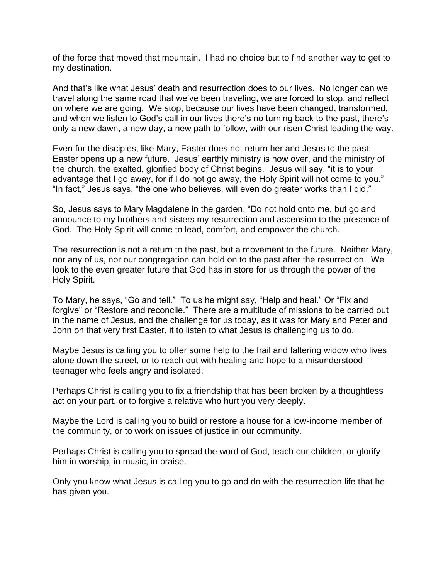of the force that moved that mountain. I had no choice but to find another way to get to my destination.

And that's like what Jesus' death and resurrection does to our lives. No longer can we travel along the same road that we've been traveling, we are forced to stop, and reflect on where we are going. We stop, because our lives have been changed, transformed, and when we listen to God's call in our lives there's no turning back to the past, there's only a new dawn, a new day, a new path to follow, with our risen Christ leading the way.

Even for the disciples, like Mary, Easter does not return her and Jesus to the past; Easter opens up a new future. Jesus' earthly ministry is now over, and the ministry of the church, the exalted, glorified body of Christ begins. Jesus will say, "it is to your advantage that I go away, for if I do not go away, the Holy Spirit will not come to you." "In fact," Jesus says, "the one who believes, will even do greater works than I did."

So, Jesus says to Mary Magdalene in the garden, "Do not hold onto me, but go and announce to my brothers and sisters my resurrection and ascension to the presence of God. The Holy Spirit will come to lead, comfort, and empower the church.

The resurrection is not a return to the past, but a movement to the future. Neither Mary, nor any of us, nor our congregation can hold on to the past after the resurrection. We look to the even greater future that God has in store for us through the power of the Holy Spirit.

To Mary, he says, "Go and tell." To us he might say, "Help and heal." Or "Fix and forgive" or "Restore and reconcile." There are a multitude of missions to be carried out in the name of Jesus, and the challenge for us today, as it was for Mary and Peter and John on that very first Easter, it to listen to what Jesus is challenging us to do.

Maybe Jesus is calling you to offer some help to the frail and faltering widow who lives alone down the street, or to reach out with healing and hope to a misunderstood teenager who feels angry and isolated.

Perhaps Christ is calling you to fix a friendship that has been broken by a thoughtless act on your part, or to forgive a relative who hurt you very deeply.

Maybe the Lord is calling you to build or restore a house for a low-income member of the community, or to work on issues of justice in our community.

Perhaps Christ is calling you to spread the word of God, teach our children, or glorify him in worship, in music, in praise.

Only you know what Jesus is calling you to go and do with the resurrection life that he has given you.